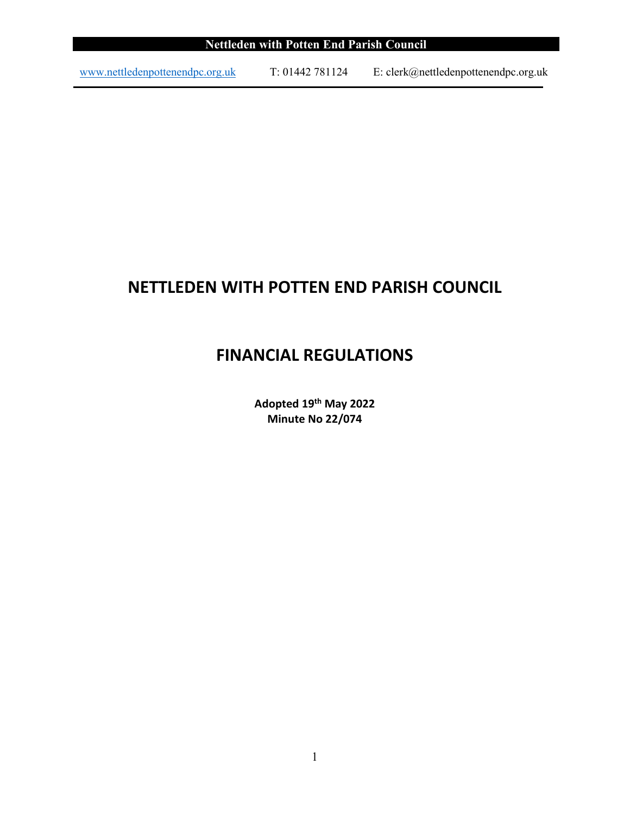| Nettleden with Potten End Parish Council |                |                                      |  |  |
|------------------------------------------|----------------|--------------------------------------|--|--|
|                                          |                |                                      |  |  |
| www.nettledenpottenendpc.org.uk          | T: 01442781124 | E: clerk@nettledenpottenendpc.org.uk |  |  |

# **NETTLEDEN WITH POTTEN END PARISH COUNCIL**

# **FINANCIAL REGULATIONS**

**Adopted 19th May 2022 Minute No 22/074**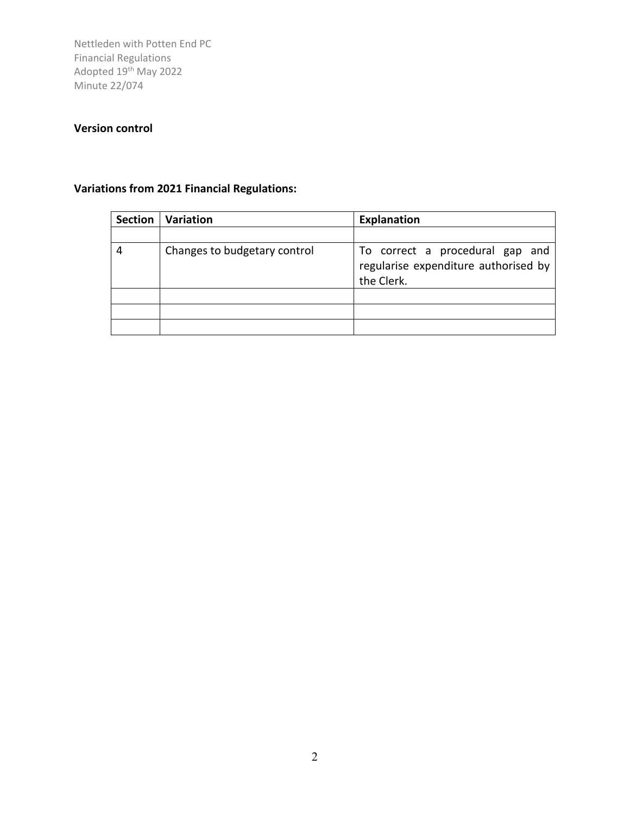#### **Version control**

## **Variations from 2021 Financial Regulations:**

| <b>Section</b> | Variation                    | <b>Explanation</b>                                                                    |
|----------------|------------------------------|---------------------------------------------------------------------------------------|
|                |                              |                                                                                       |
| 4              | Changes to budgetary control | To correct a procedural gap and<br>regularise expenditure authorised by<br>the Clerk. |
|                |                              |                                                                                       |
|                |                              |                                                                                       |
|                |                              |                                                                                       |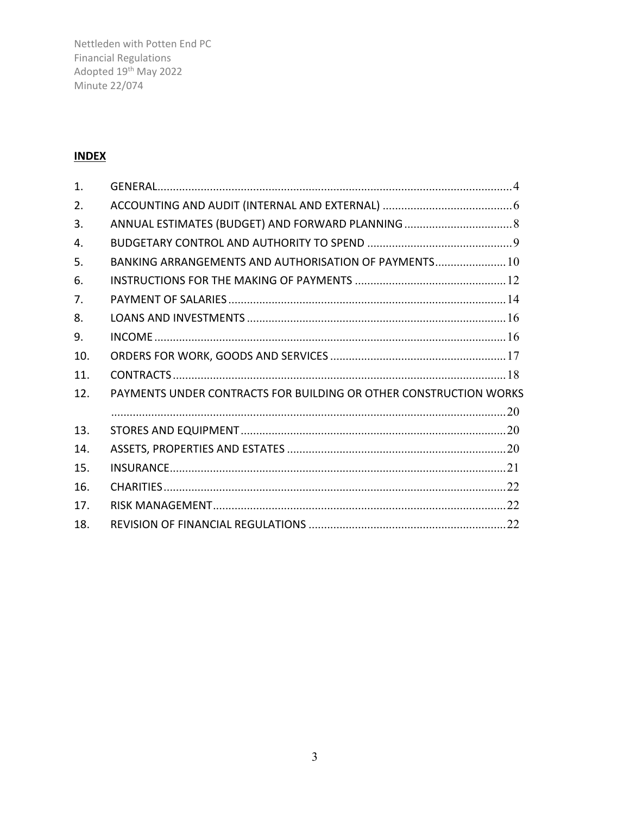Nettleden with Potten End PC Financial Regulations<br>Adopted 19<sup>th</sup> May 2022<br>Minute 22/074

## **INDEX**

| 1 <sub>1</sub> |                                                                   |  |
|----------------|-------------------------------------------------------------------|--|
| 2.             |                                                                   |  |
| 3.             |                                                                   |  |
| 4.             |                                                                   |  |
| 5.             | BANKING ARRANGEMENTS AND AUTHORISATION OF PAYMENTS 10             |  |
| 6.             |                                                                   |  |
| 7.             |                                                                   |  |
| 8.             |                                                                   |  |
| 9.             |                                                                   |  |
| 10.            |                                                                   |  |
| 11.            |                                                                   |  |
| 12.            | PAYMENTS UNDER CONTRACTS FOR BUILDING OR OTHER CONSTRUCTION WORKS |  |
|                |                                                                   |  |
| 13.            |                                                                   |  |
| 14.            |                                                                   |  |
| 15.            |                                                                   |  |
| 16.            |                                                                   |  |
| 17.            |                                                                   |  |
| 18.            |                                                                   |  |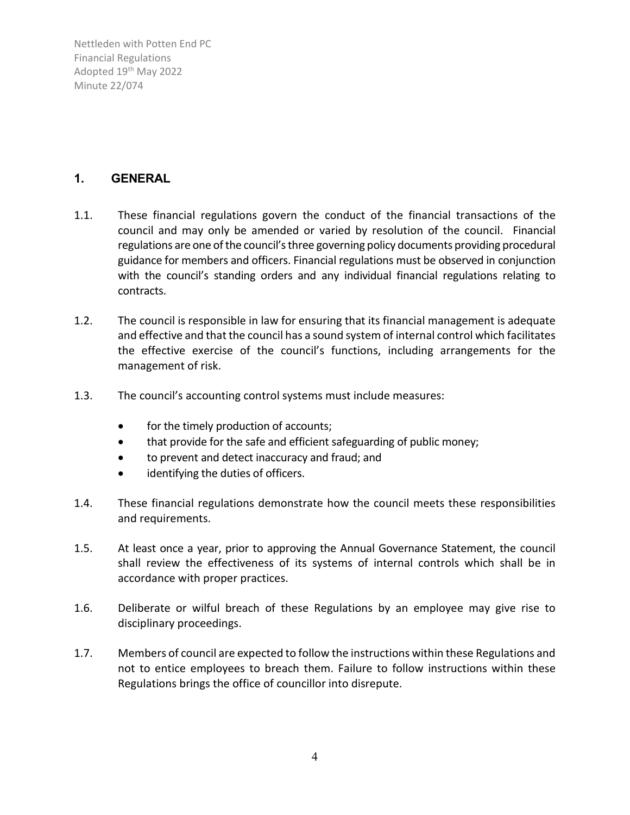#### <span id="page-3-0"></span>**1. GENERAL**

- 1.1. These financial regulations govern the conduct of the financial transactions of the council and may only be amended or varied by resolution of the council. Financial regulations are one of the council's three governing policy documents providing procedural guidance for members and officers. Financial regulations must be observed in conjunction with the council's standing orders and any individual financial regulations relating to contracts.
- 1.2. The council is responsible in law for ensuring that its financial management is adequate and effective and that the council has a sound system of internal control which facilitates the effective exercise of the council's functions, including arrangements for the management of risk.
- 1.3. The council's accounting control systems must include measures:
	- for the timely production of accounts;
	- that provide for the safe and efficient safeguarding of public money;
	- to prevent and detect inaccuracy and fraud; and
	- identifying the duties of officers.
- 1.4. These financial regulations demonstrate how the council meets these responsibilities and requirements.
- 1.5. At least once a year, prior to approving the Annual Governance Statement, the council shall review the effectiveness of its systems of internal controls which shall be in accordance with proper practices.
- 1.6. Deliberate or wilful breach of these Regulations by an employee may give rise to disciplinary proceedings.
- 1.7. Members of council are expected to follow the instructions within these Regulations and not to entice employees to breach them. Failure to follow instructions within these Regulations brings the office of councillor into disrepute.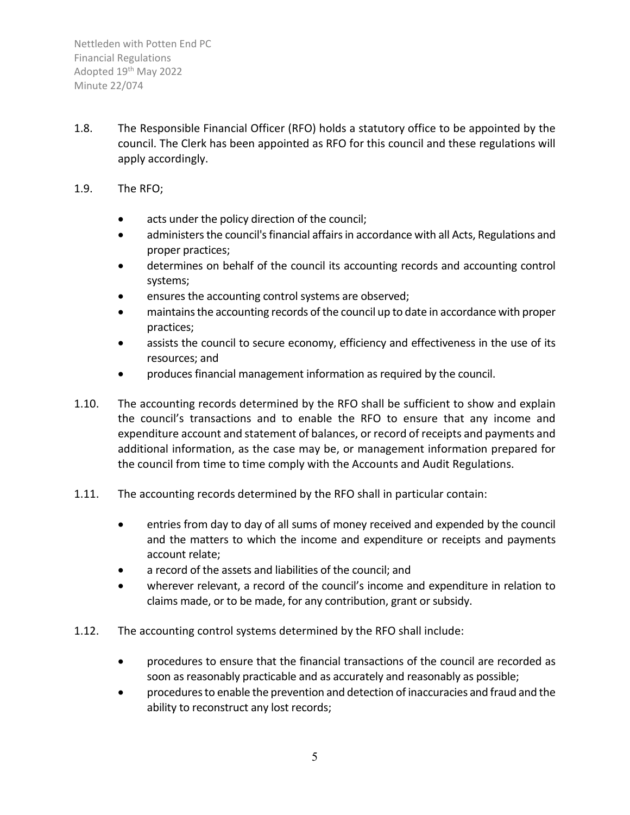- 1.8. The Responsible Financial Officer (RFO) holds a statutory office to be appointed by the council. The Clerk has been appointed as RFO for this council and these regulations will apply accordingly.
- 1.9. The RFO;
	- acts under the policy direction of the council;
	- administers the council's financial affairs in accordance with all Acts, Regulations and proper practices;
	- determines on behalf of the council its accounting records and accounting control systems;
	- ensures the accounting control systems are observed;
	- maintains the accounting records of the council up to date in accordance with proper practices;
	- assists the council to secure economy, efficiency and effectiveness in the use of its resources; and
	- produces financial management information as required by the council.
- 1.10. The accounting records determined by the RFO shall be sufficient to show and explain the council's transactions and to enable the RFO to ensure that any income and expenditure account and statement of balances, or record of receipts and payments and additional information, as the case may be, or management information prepared for the council from time to time comply with the Accounts and Audit Regulations.
- 1.11. The accounting records determined by the RFO shall in particular contain:
	- entries from day to day of all sums of money received and expended by the council and the matters to which the income and expenditure or receipts and payments account relate;
	- a record of the assets and liabilities of the council; and
	- wherever relevant, a record of the council's income and expenditure in relation to claims made, or to be made, for any contribution, grant or subsidy.
- 1.12. The accounting control systems determined by the RFO shall include:
	- procedures to ensure that the financial transactions of the council are recorded as soon as reasonably practicable and as accurately and reasonably as possible;
	- procedures to enable the prevention and detection of inaccuracies and fraud and the ability to reconstruct any lost records;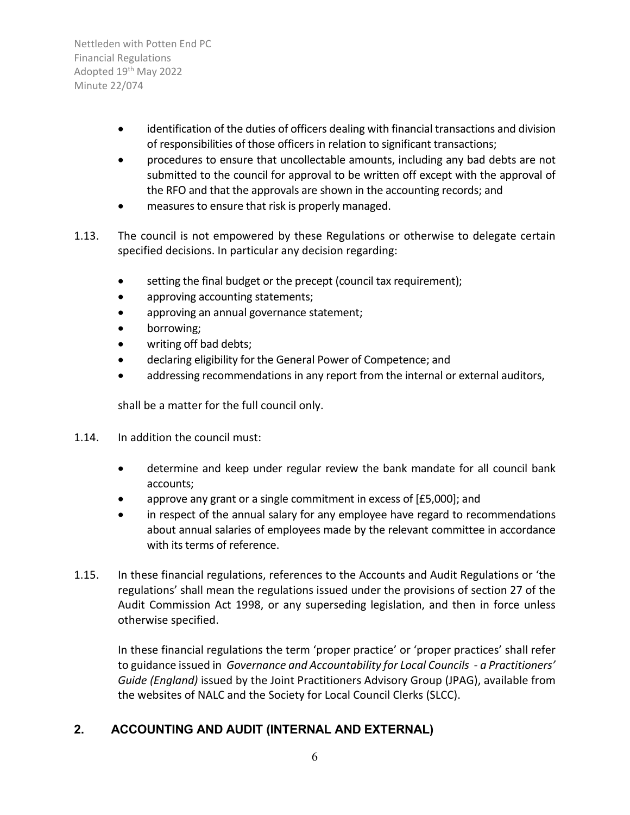- identification of the duties of officers dealing with financial transactions and division of responsibilities of those officers in relation to significant transactions;
- procedures to ensure that uncollectable amounts, including any bad debts are not submitted to the council for approval to be written off except with the approval of the RFO and that the approvals are shown in the accounting records; and
- measures to ensure that risk is properly managed.
- 1.13. The council is not empowered by these Regulations or otherwise to delegate certain specified decisions. In particular any decision regarding:
	- setting the final budget or the precept (council tax requirement);
	- approving accounting statements;
	- approving an annual governance statement;
	- borrowing;
	- writing off bad debts;
	- declaring eligibility for the General Power of Competence; and
	- addressing recommendations in any report from the internal or external auditors,

shall be a matter for the full council only.

- 1.14. In addition the council must:
	- determine and keep under regular review the bank mandate for all council bank accounts;
	- approve any grant or a single commitment in excess of [£5,000]; and
	- in respect of the annual salary for any employee have regard to recommendations about annual salaries of employees made by the relevant committee in accordance with its terms of reference.
- 1.15. In these financial regulations, references to the Accounts and Audit Regulations or 'the regulations' shall mean the regulations issued under the provisions of section 27 of the Audit Commission Act 1998, or any superseding legislation, and then in force unless otherwise specified.

In these financial regulations the term 'proper practice' or 'proper practices' shall refer to guidance issued in *Governance and Accountability for Local Councils - a Practitioners' Guide (England)* issued by the Joint Practitioners Advisory Group (JPAG), available from the websites of NALC and the Society for Local Council Clerks (SLCC).

### <span id="page-5-0"></span>**2. ACCOUNTING AND AUDIT (INTERNAL AND EXTERNAL)**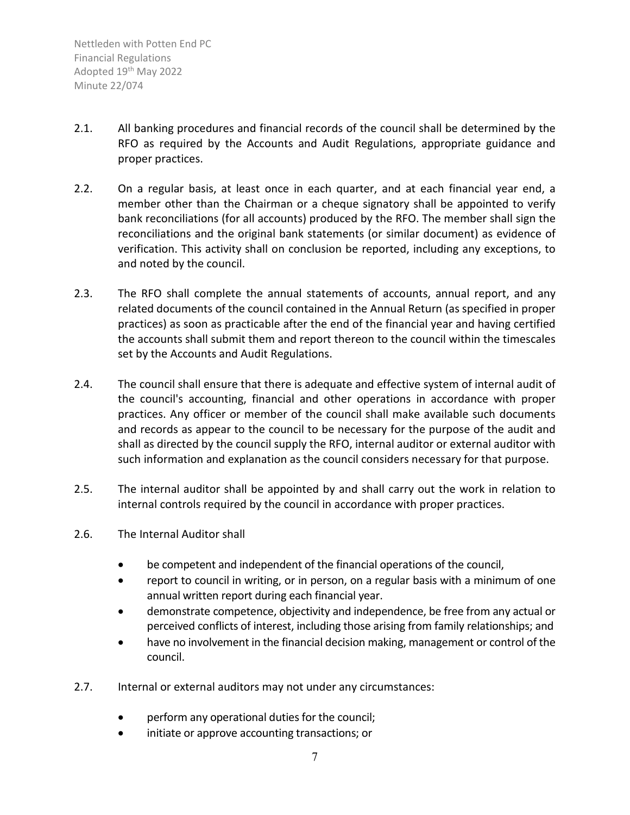- 2.1. All banking procedures and financial records of the council shall be determined by the RFO as required by the Accounts and Audit Regulations, appropriate guidance and proper practices.
- 2.2. On a regular basis, at least once in each quarter, and at each financial year end, a member other than the Chairman or a cheque signatory shall be appointed to verify bank reconciliations (for all accounts) produced by the RFO. The member shall sign the reconciliations and the original bank statements (or similar document) as evidence of verification. This activity shall on conclusion be reported, including any exceptions, to and noted by the council.
- 2.3. The RFO shall complete the annual statements of accounts, annual report, and any related documents of the council contained in the Annual Return (as specified in proper practices) as soon as practicable after the end of the financial year and having certified the accounts shall submit them and report thereon to the council within the timescales set by the Accounts and Audit Regulations.
- 2.4. The council shall ensure that there is adequate and effective system of internal audit of the council's accounting, financial and other operations in accordance with proper practices. Any officer or member of the council shall make available such documents and records as appear to the council to be necessary for the purpose of the audit and shall as directed by the council supply the RFO, internal auditor or external auditor with such information and explanation as the council considers necessary for that purpose.
- 2.5. The internal auditor shall be appointed by and shall carry out the work in relation to internal controls required by the council in accordance with proper practices.
- 2.6. The Internal Auditor shall
	- be competent and independent of the financial operations of the council,
	- report to council in writing, or in person, on a regular basis with a minimum of one annual written report during each financial year.
	- demonstrate competence, objectivity and independence, be free from any actual or perceived conflicts of interest, including those arising from family relationships; and
	- have no involvement in the financial decision making, management or control of the council.
- 2.7. Internal or external auditors may not under any circumstances:
	- perform any operational duties for the council;
	- initiate or approve accounting transactions; or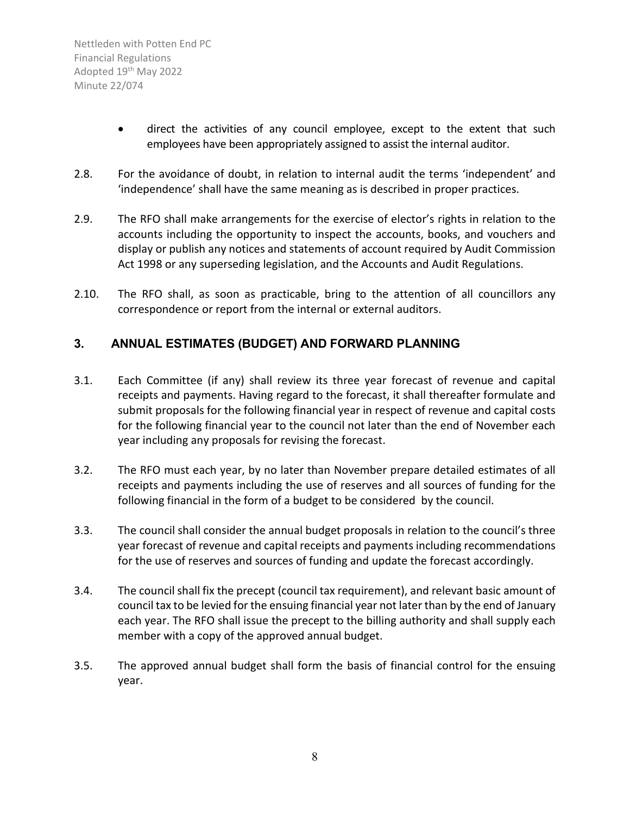- direct the activities of any council employee, except to the extent that such employees have been appropriately assigned to assist the internal auditor.
- 2.8. For the avoidance of doubt, in relation to internal audit the terms 'independent' and 'independence' shall have the same meaning as is described in proper practices.
- 2.9. The RFO shall make arrangements for the exercise of elector's rights in relation to the accounts including the opportunity to inspect the accounts, books, and vouchers and display or publish any notices and statements of account required by Audit Commission Act 1998 or any superseding legislation, and the Accounts and Audit Regulations.
- 2.10. The RFO shall, as soon as practicable, bring to the attention of all councillors any correspondence or report from the internal or external auditors.

### <span id="page-7-0"></span>**3. ANNUAL ESTIMATES (BUDGET) AND FORWARD PLANNING**

- 3.1. Each Committee (if any) shall review its three year forecast of revenue and capital receipts and payments. Having regard to the forecast, it shall thereafter formulate and submit proposals for the following financial year in respect of revenue and capital costs for the following financial year to the council not later than the end of November each year including any proposals for revising the forecast.
- 3.2. The RFO must each year, by no later than November prepare detailed estimates of all receipts and payments including the use of reserves and all sources of funding for the following financial in the form of a budget to be considered by the council.
- 3.3. The council shall consider the annual budget proposals in relation to the council's three year forecast of revenue and capital receipts and payments including recommendations for the use of reserves and sources of funding and update the forecast accordingly.
- 3.4. The council shall fix the precept (council tax requirement), and relevant basic amount of council tax to be levied for the ensuing financial year not later than by the end of January each year. The RFO shall issue the precept to the billing authority and shall supply each member with a copy of the approved annual budget.
- 3.5. The approved annual budget shall form the basis of financial control for the ensuing year.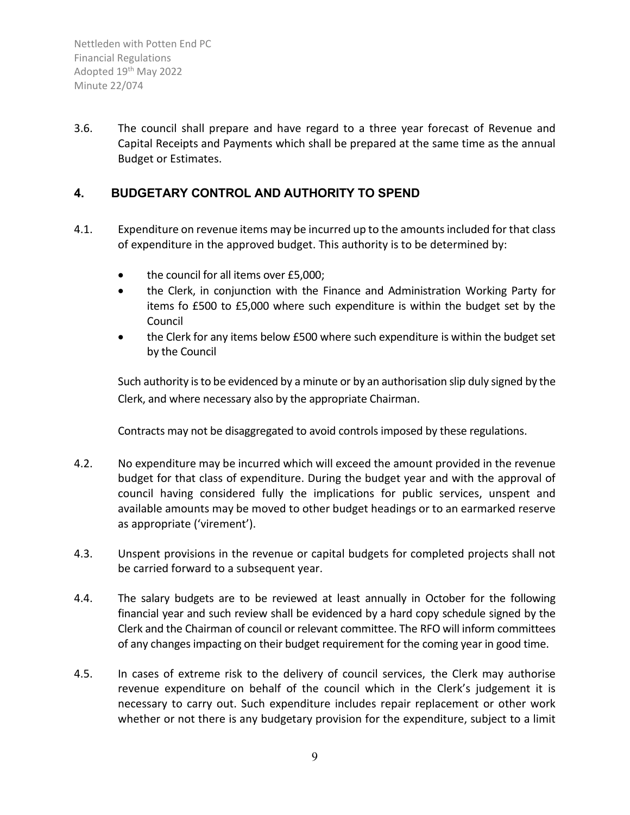3.6. The council shall prepare and have regard to a three year forecast of Revenue and Capital Receipts and Payments which shall be prepared at the same time as the annual Budget or Estimates.

#### <span id="page-8-0"></span>**4. BUDGETARY CONTROL AND AUTHORITY TO SPEND**

- 4.1. Expenditure on revenue items may be incurred up to the amounts included for that class of expenditure in the approved budget. This authority is to be determined by:
	- the council for all items over £5,000;
	- the Clerk, in conjunction with the Finance and Administration Working Party for items fo £500 to £5,000 where such expenditure is within the budget set by the Council
	- the Clerk for any items below £500 where such expenditure is within the budget set by the Council

Such authority is to be evidenced by a minute or by an authorisation slip duly signed by the Clerk, and where necessary also by the appropriate Chairman.

Contracts may not be disaggregated to avoid controls imposed by these regulations.

- 4.2. No expenditure may be incurred which will exceed the amount provided in the revenue budget for that class of expenditure. During the budget year and with the approval of council having considered fully the implications for public services, unspent and available amounts may be moved to other budget headings or to an earmarked reserve as appropriate ('virement').
- 4.3. Unspent provisions in the revenue or capital budgets for completed projects shall not be carried forward to a subsequent year.
- 4.4. The salary budgets are to be reviewed at least annually in October for the following financial year and such review shall be evidenced by a hard copy schedule signed by the Clerk and the Chairman of council or relevant committee. The RFO will inform committees of any changes impacting on their budget requirement for the coming year in good time.
- 4.5. In cases of extreme risk to the delivery of council services, the Clerk may authorise revenue expenditure on behalf of the council which in the Clerk's judgement it is necessary to carry out. Such expenditure includes repair replacement or other work whether or not there is any budgetary provision for the expenditure, subject to a limit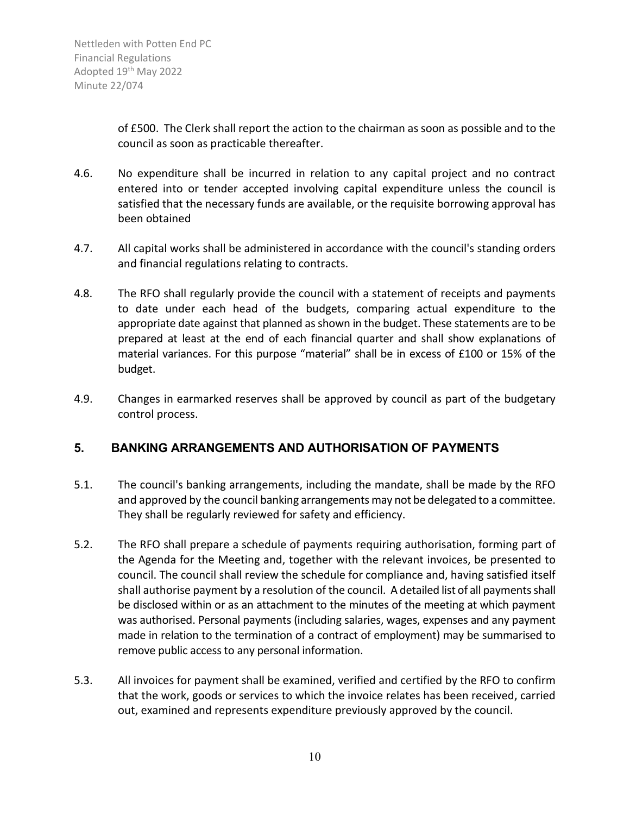of £500. The Clerk shall report the action to the chairman as soon as possible and to the council as soon as practicable thereafter.

- 4.6. No expenditure shall be incurred in relation to any capital project and no contract entered into or tender accepted involving capital expenditure unless the council is satisfied that the necessary funds are available, or the requisite borrowing approval has been obtained
- 4.7. All capital works shall be administered in accordance with the council's standing orders and financial regulations relating to contracts.
- 4.8. The RFO shall regularly provide the council with a statement of receipts and payments to date under each head of the budgets, comparing actual expenditure to the appropriate date against that planned as shown in the budget. These statements are to be prepared at least at the end of each financial quarter and shall show explanations of material variances. For this purpose "material" shall be in excess of £100 or 15% of the budget.
- 4.9. Changes in earmarked reserves shall be approved by council as part of the budgetary control process.

#### <span id="page-9-0"></span>**5. BANKING ARRANGEMENTS AND AUTHORISATION OF PAYMENTS**

- 5.1. The council's banking arrangements, including the mandate, shall be made by the RFO and approved by the council banking arrangements may not be delegated to a committee. They shall be regularly reviewed for safety and efficiency.
- 5.2. The RFO shall prepare a schedule of payments requiring authorisation, forming part of the Agenda for the Meeting and, together with the relevant invoices, be presented to council. The council shall review the schedule for compliance and, having satisfied itself shall authorise payment by a resolution of the council. A detailed list of all payments shall be disclosed within or as an attachment to the minutes of the meeting at which payment was authorised. Personal payments (including salaries, wages, expenses and any payment made in relation to the termination of a contract of employment) may be summarised to remove public access to any personal information.
- 5.3. All invoices for payment shall be examined, verified and certified by the RFO to confirm that the work, goods or services to which the invoice relates has been received, carried out, examined and represents expenditure previously approved by the council.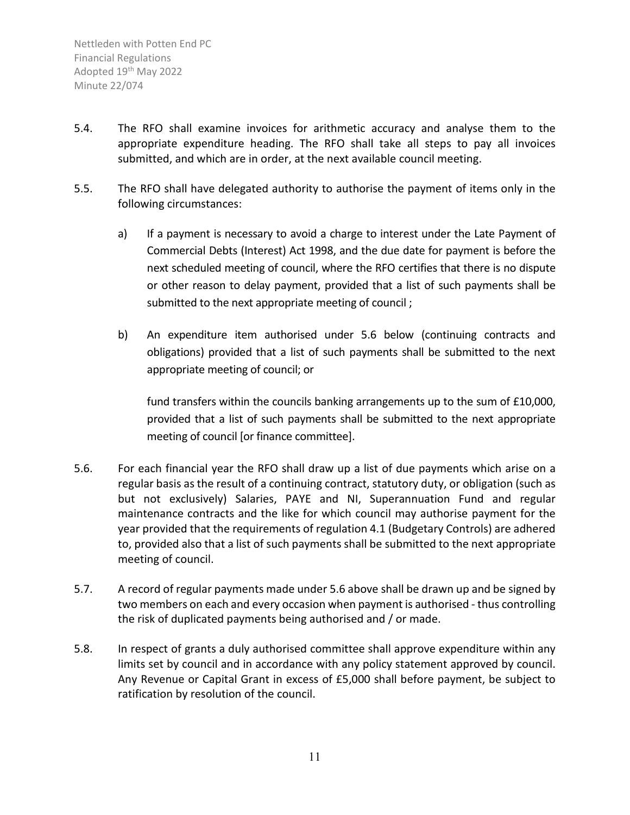- 5.4. The RFO shall examine invoices for arithmetic accuracy and analyse them to the appropriate expenditure heading. The RFO shall take all steps to pay all invoices submitted, and which are in order, at the next available council meeting.
- 5.5. The RFO shall have delegated authority to authorise the payment of items only in the following circumstances:
	- a) If a payment is necessary to avoid a charge to interest under the Late Payment of Commercial Debts (Interest) Act 1998, and the due date for payment is before the next scheduled meeting of council, where the RFO certifies that there is no dispute or other reason to delay payment, provided that a list of such payments shall be submitted to the next appropriate meeting of council ;
	- b) An expenditure item authorised under 5.6 below (continuing contracts and obligations) provided that a list of such payments shall be submitted to the next appropriate meeting of council; or

fund transfers within the councils banking arrangements up to the sum of £10,000, provided that a list of such payments shall be submitted to the next appropriate meeting of council [or finance committee].

- 5.6. For each financial year the RFO shall draw up a list of due payments which arise on a regular basis as the result of a continuing contract, statutory duty, or obligation (such as but not exclusively) Salaries, PAYE and NI, Superannuation Fund and regular maintenance contracts and the like for which council may authorise payment for the year provided that the requirements of regulation 4.1 (Budgetary Controls) are adhered to, provided also that a list of such payments shall be submitted to the next appropriate meeting of council.
- 5.7. A record of regular payments made under 5.6 above shall be drawn up and be signed by two members on each and every occasion when payment is authorised - thus controlling the risk of duplicated payments being authorised and / or made.
- 5.8. In respect of grants a duly authorised committee shall approve expenditure within any limits set by council and in accordance with any policy statement approved by council. Any Revenue or Capital Grant in excess of £5,000 shall before payment, be subject to ratification by resolution of the council.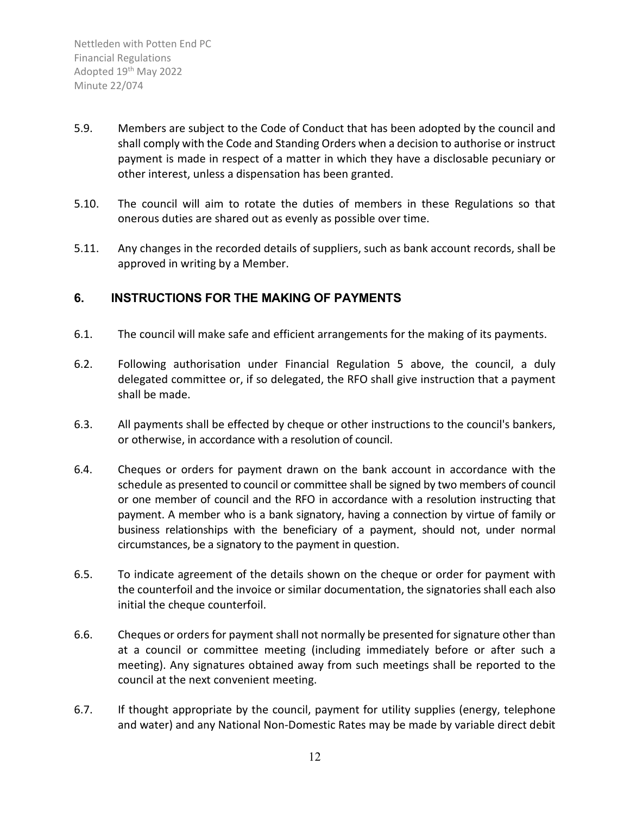- 5.9. Members are subject to the Code of Conduct that has been adopted by the council and shall comply with the Code and Standing Orders when a decision to authorise or instruct payment is made in respect of a matter in which they have a disclosable pecuniary or other interest, unless a dispensation has been granted.
- 5.10. The council will aim to rotate the duties of members in these Regulations so that onerous duties are shared out as evenly as possible over time.
- 5.11. Any changes in the recorded details of suppliers, such as bank account records, shall be approved in writing by a Member.

#### <span id="page-11-0"></span>**6. INSTRUCTIONS FOR THE MAKING OF PAYMENTS**

- 6.1. The council will make safe and efficient arrangements for the making of its payments.
- 6.2. Following authorisation under Financial Regulation 5 above, the council, a duly delegated committee or, if so delegated, the RFO shall give instruction that a payment shall be made.
- 6.3. All payments shall be effected by cheque or other instructions to the council's bankers, or otherwise, in accordance with a resolution of council.
- 6.4. Cheques or orders for payment drawn on the bank account in accordance with the schedule as presented to council or committee shall be signed by two members of council or one member of council and the RFO in accordance with a resolution instructing that payment. A member who is a bank signatory, having a connection by virtue of family or business relationships with the beneficiary of a payment, should not, under normal circumstances, be a signatory to the payment in question.
- 6.5. To indicate agreement of the details shown on the cheque or order for payment with the counterfoil and the invoice or similar documentation, the signatories shall each also initial the cheque counterfoil.
- 6.6. Cheques or orders for payment shall not normally be presented for signature other than at a council or committee meeting (including immediately before or after such a meeting). Any signatures obtained away from such meetings shall be reported to the council at the next convenient meeting.
- 6.7. If thought appropriate by the council, payment for utility supplies (energy, telephone and water) and any National Non-Domestic Rates may be made by variable direct debit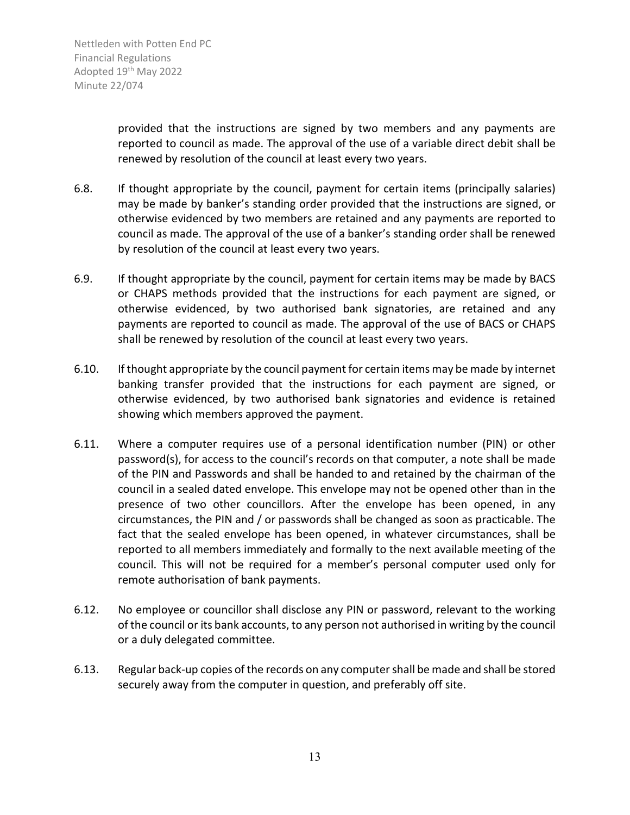provided that the instructions are signed by two members and any payments are reported to council as made. The approval of the use of a variable direct debit shall be renewed by resolution of the council at least every two years.

- 6.8. If thought appropriate by the council, payment for certain items (principally salaries) may be made by banker's standing order provided that the instructions are signed, or otherwise evidenced by two members are retained and any payments are reported to council as made. The approval of the use of a banker's standing order shall be renewed by resolution of the council at least every two years.
- 6.9. If thought appropriate by the council, payment for certain items may be made by BACS or CHAPS methods provided that the instructions for each payment are signed, or otherwise evidenced, by two authorised bank signatories, are retained and any payments are reported to council as made. The approval of the use of BACS or CHAPS shall be renewed by resolution of the council at least every two years.
- 6.10. If thought appropriate by the council payment for certain items may be made by internet banking transfer provided that the instructions for each payment are signed, or otherwise evidenced, by two authorised bank signatories and evidence is retained showing which members approved the payment.
- 6.11. Where a computer requires use of a personal identification number (PIN) or other password(s), for access to the council's records on that computer, a note shall be made of the PIN and Passwords and shall be handed to and retained by the chairman of the council in a sealed dated envelope. This envelope may not be opened other than in the presence of two other councillors. After the envelope has been opened, in any circumstances, the PIN and / or passwords shall be changed as soon as practicable. The fact that the sealed envelope has been opened, in whatever circumstances, shall be reported to all members immediately and formally to the next available meeting of the council. This will not be required for a member's personal computer used only for remote authorisation of bank payments.
- 6.12. No employee or councillor shall disclose any PIN or password, relevant to the working of the council or its bank accounts, to any person not authorised in writing by the council or a duly delegated committee.
- 6.13. Regular back-up copies of the records on any computer shall be made and shall be stored securely away from the computer in question, and preferably off site.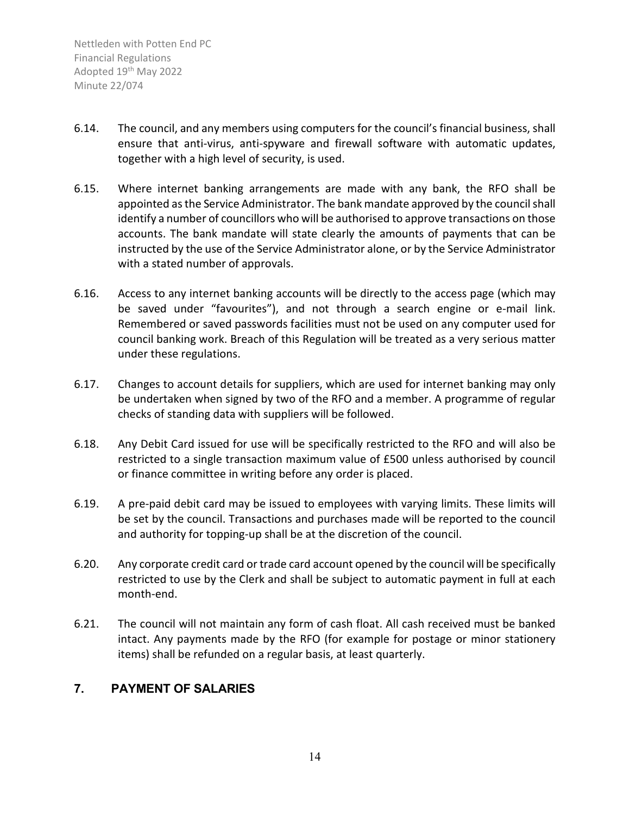- 6.14. The council, and any members using computers for the council's financial business, shall ensure that anti-virus, anti-spyware and firewall software with automatic updates, together with a high level of security, is used.
- 6.15. Where internet banking arrangements are made with any bank, the RFO shall be appointed as the Service Administrator. The bank mandate approved by the council shall identify a number of councillors who will be authorised to approve transactions on those accounts. The bank mandate will state clearly the amounts of payments that can be instructed by the use of the Service Administrator alone, or by the Service Administrator with a stated number of approvals.
- 6.16. Access to any internet banking accounts will be directly to the access page (which may be saved under "favourites"), and not through a search engine or e-mail link. Remembered or saved passwords facilities must not be used on any computer used for council banking work. Breach of this Regulation will be treated as a very serious matter under these regulations.
- 6.17. Changes to account details for suppliers, which are used for internet banking may only be undertaken when signed by two of the RFO and a member. A programme of regular checks of standing data with suppliers will be followed.
- 6.18. Any Debit Card issued for use will be specifically restricted to the RFO and will also be restricted to a single transaction maximum value of £500 unless authorised by council or finance committee in writing before any order is placed.
- 6.19. A pre-paid debit card may be issued to employees with varying limits. These limits will be set by the council. Transactions and purchases made will be reported to the council and authority for topping-up shall be at the discretion of the council.
- 6.20. Any corporate credit card or trade card account opened by the council will be specifically restricted to use by the Clerk and shall be subject to automatic payment in full at each month-end.
- 6.21. The council will not maintain any form of cash float. All cash received must be banked intact. Any payments made by the RFO (for example for postage or minor stationery items) shall be refunded on a regular basis, at least quarterly.

#### <span id="page-13-0"></span>**7. PAYMENT OF SALARIES**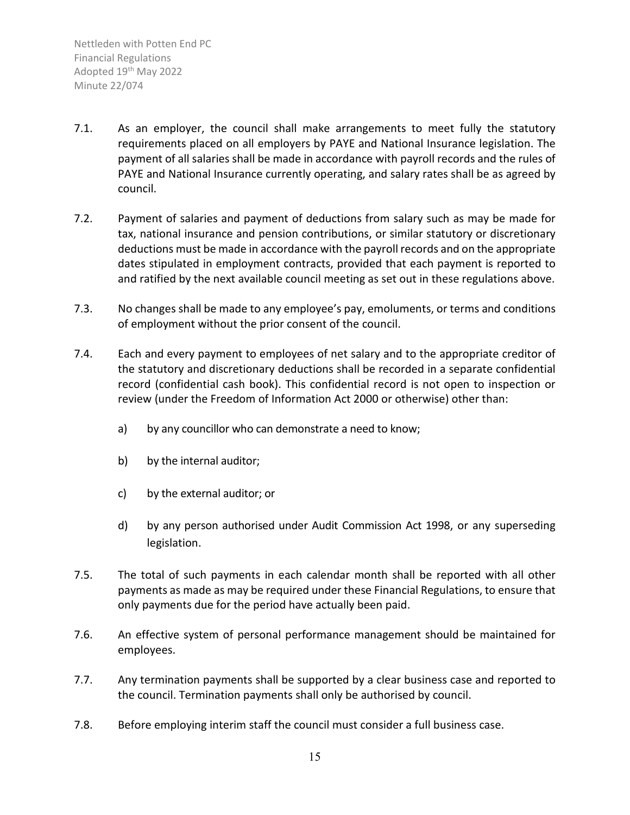- 7.1. As an employer, the council shall make arrangements to meet fully the statutory requirements placed on all employers by PAYE and National Insurance legislation. The payment of all salaries shall be made in accordance with payroll records and the rules of PAYE and National Insurance currently operating, and salary rates shall be as agreed by council.
- 7.2. Payment of salaries and payment of deductions from salary such as may be made for tax, national insurance and pension contributions, or similar statutory or discretionary deductions must be made in accordance with the payroll records and on the appropriate dates stipulated in employment contracts, provided that each payment is reported to and ratified by the next available council meeting as set out in these regulations above.
- 7.3. No changes shall be made to any employee's pay, emoluments, or terms and conditions of employment without the prior consent of the council.
- 7.4. Each and every payment to employees of net salary and to the appropriate creditor of the statutory and discretionary deductions shall be recorded in a separate confidential record (confidential cash book). This confidential record is not open to inspection or review (under the Freedom of Information Act 2000 or otherwise) other than:
	- a) by any councillor who can demonstrate a need to know;
	- b) by the internal auditor;
	- c) by the external auditor; or
	- d) by any person authorised under Audit Commission Act 1998, or any superseding legislation.
- 7.5. The total of such payments in each calendar month shall be reported with all other payments as made as may be required under these Financial Regulations, to ensure that only payments due for the period have actually been paid.
- 7.6. An effective system of personal performance management should be maintained for employees.
- 7.7. Any termination payments shall be supported by a clear business case and reported to the council. Termination payments shall only be authorised by council.
- 7.8. Before employing interim staff the council must consider a full business case.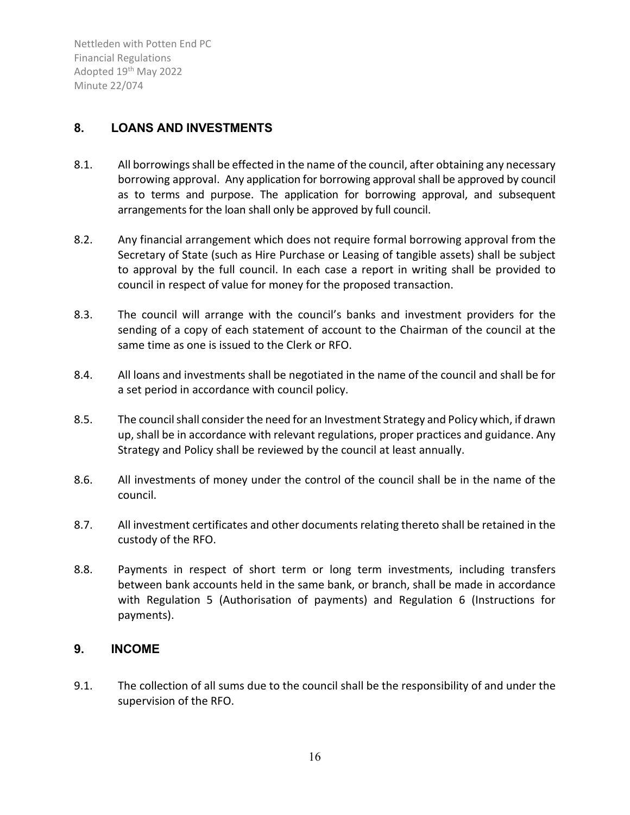#### <span id="page-15-0"></span>**8. LOANS AND INVESTMENTS**

- 8.1. All borrowings shall be effected in the name of the council, after obtaining any necessary borrowing approval. Any application for borrowing approval shall be approved by council as to terms and purpose. The application for borrowing approval, and subsequent arrangements for the loan shall only be approved by full council.
- 8.2. Any financial arrangement which does not require formal borrowing approval from the Secretary of State (such as Hire Purchase or Leasing of tangible assets) shall be subject to approval by the full council. In each case a report in writing shall be provided to council in respect of value for money for the proposed transaction.
- 8.3. The council will arrange with the council's banks and investment providers for the sending of a copy of each statement of account to the Chairman of the council at the same time as one is issued to the Clerk or RFO.
- 8.4. All loans and investments shall be negotiated in the name of the council and shall be for a set period in accordance with council policy.
- 8.5. The council shall consider the need for an Investment Strategy and Policy which, if drawn up, shall be in accordance with relevant regulations, proper practices and guidance. Any Strategy and Policy shall be reviewed by the council at least annually.
- 8.6. All investments of money under the control of the council shall be in the name of the council.
- 8.7. All investment certificates and other documents relating thereto shall be retained in the custody of the RFO.
- 8.8. Payments in respect of short term or long term investments, including transfers between bank accounts held in the same bank, or branch, shall be made in accordance with Regulation 5 (Authorisation of payments) and Regulation 6 (Instructions for payments).

#### <span id="page-15-1"></span>**9. INCOME**

9.1. The collection of all sums due to the council shall be the responsibility of and under the supervision of the RFO.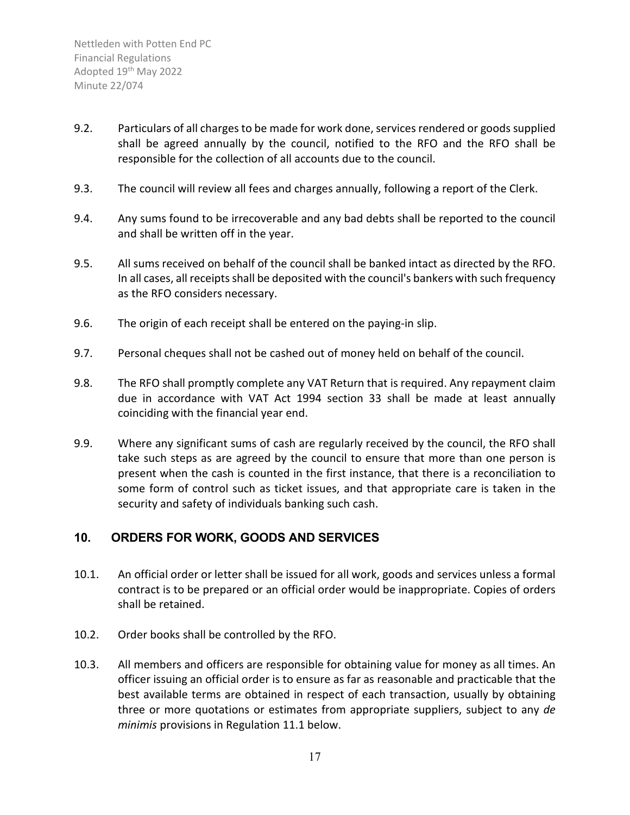- 9.2. Particulars of all charges to be made for work done, services rendered or goods supplied shall be agreed annually by the council, notified to the RFO and the RFO shall be responsible for the collection of all accounts due to the council.
- 9.3. The council will review all fees and charges annually, following a report of the Clerk.
- 9.4. Any sums found to be irrecoverable and any bad debts shall be reported to the council and shall be written off in the year.
- 9.5. All sums received on behalf of the council shall be banked intact as directed by the RFO. In all cases, all receipts shall be deposited with the council's bankers with such frequency as the RFO considers necessary.
- 9.6. The origin of each receipt shall be entered on the paying-in slip.
- 9.7. Personal cheques shall not be cashed out of money held on behalf of the council.
- 9.8. The RFO shall promptly complete any VAT Return that is required. Any repayment claim due in accordance with VAT Act 1994 section 33 shall be made at least annually coinciding with the financial year end.
- 9.9. Where any significant sums of cash are regularly received by the council, the RFO shall take such steps as are agreed by the council to ensure that more than one person is present when the cash is counted in the first instance, that there is a reconciliation to some form of control such as ticket issues, and that appropriate care is taken in the security and safety of individuals banking such cash.

#### <span id="page-16-0"></span>**10. ORDERS FOR WORK, GOODS AND SERVICES**

- 10.1. An official order or letter shall be issued for all work, goods and services unless a formal contract is to be prepared or an official order would be inappropriate. Copies of orders shall be retained.
- 10.2. Order books shall be controlled by the RFO.
- 10.3. All members and officers are responsible for obtaining value for money as all times. An officer issuing an official order is to ensure as far as reasonable and practicable that the best available terms are obtained in respect of each transaction, usually by obtaining three or more quotations or estimates from appropriate suppliers, subject to any *de minimis* provisions in Regulation 11.1 below.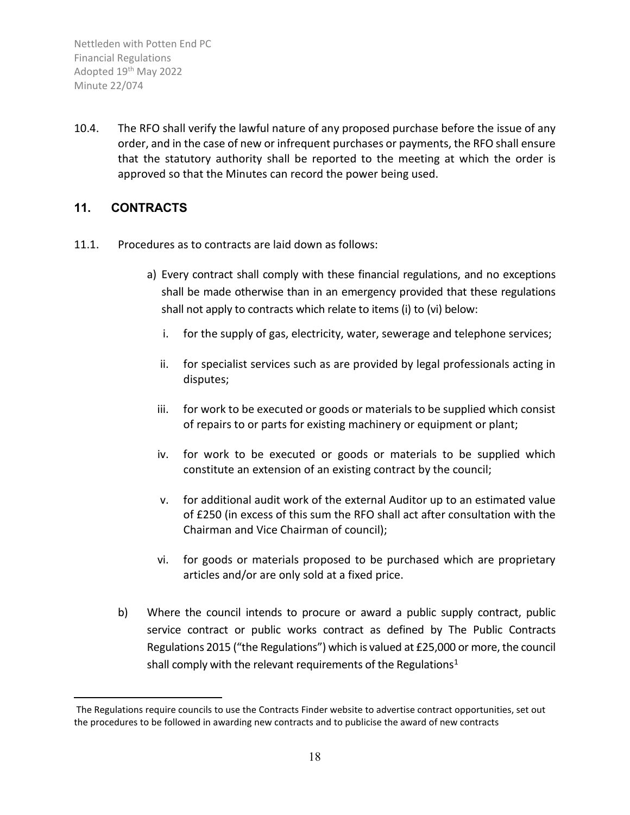10.4. The RFO shall verify the lawful nature of any proposed purchase before the issue of any order, and in the case of new or infrequent purchases or payments, the RFO shall ensure that the statutory authority shall be reported to the meeting at which the order is approved so that the Minutes can record the power being used.

#### <span id="page-17-0"></span>**11. CONTRACTS**

- 11.1. Procedures as to contracts are laid down as follows:
	- a) Every contract shall comply with these financial regulations, and no exceptions shall be made otherwise than in an emergency provided that these regulations shall not apply to contracts which relate to items (i) to (vi) below:
		- i. for the supply of gas, electricity, water, sewerage and telephone services;
		- ii. for specialist services such as are provided by legal professionals acting in disputes;
		- iii. for work to be executed or goods or materials to be supplied which consist of repairs to or parts for existing machinery or equipment or plant;
		- iv. for work to be executed or goods or materials to be supplied which constitute an extension of an existing contract by the council;
		- v. for additional audit work of the external Auditor up to an estimated value of £250 (in excess of this sum the RFO shall act after consultation with the Chairman and Vice Chairman of council);
		- vi. for goods or materials proposed to be purchased which are proprietary articles and/or are only sold at a fixed price.
	- b) Where the council intends to procure or award a public supply contract, public service contract or public works contract as defined by The Public Contracts Regulations 2015 ("the Regulations") which is valued at £25,000 or more, the council shall comply with the relevant requirements of the Regulations<sup>1</sup>

<span id="page-17-1"></span>The Regulations require councils to use the Contracts Finder website to advertise contract opportunities, set out the procedures to be followed in awarding new contracts and to publicise the award of new contracts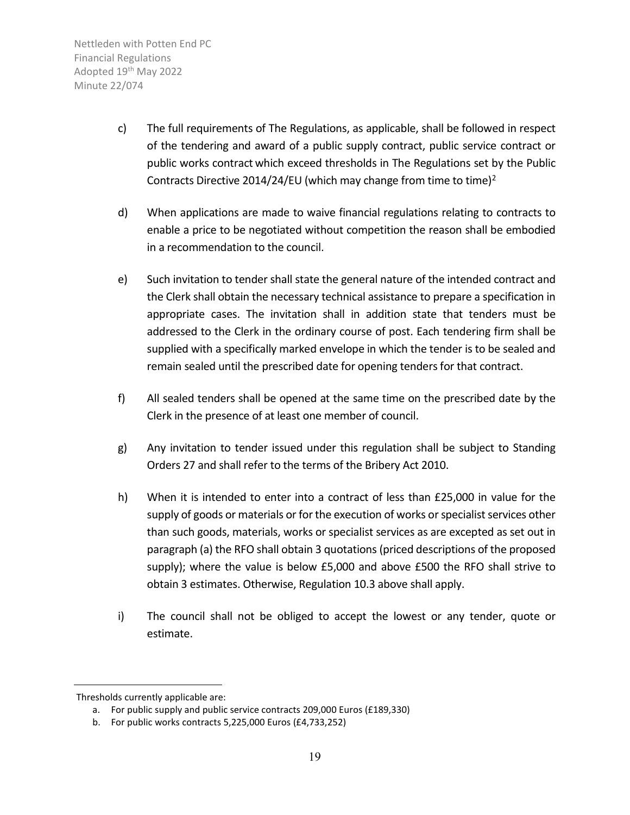- c) The full requirements of The Regulations, as applicable, shall be followed in respect of the tendering and award of a public supply contract, public service contract or public works contract which exceed thresholds in The Regulations set by the Public Contracts Directive 2014/24/EU (which may change from time to time)<sup>2</sup>
- d) When applications are made to waive financial regulations relating to contracts to enable a price to be negotiated without competition the reason shall be embodied in a recommendation to the council.
- e) Such invitation to tender shall state the general nature of the intended contract and the Clerk shall obtain the necessary technical assistance to prepare a specification in appropriate cases. The invitation shall in addition state that tenders must be addressed to the Clerk in the ordinary course of post. Each tendering firm shall be supplied with a specifically marked envelope in which the tender is to be sealed and remain sealed until the prescribed date for opening tenders for that contract.
- f) All sealed tenders shall be opened at the same time on the prescribed date by the Clerk in the presence of at least one member of council.
- g) Any invitation to tender issued under this regulation shall be subject to Standing Orders 27 and shall refer to the terms of the Bribery Act 2010.
- h) When it is intended to enter into a contract of less than £25,000 in value for the supply of goods or materials or for the execution of works or specialist services other than such goods, materials, works or specialist services as are excepted as set out in paragraph (a) the RFO shall obtain 3 quotations (priced descriptions of the proposed supply); where the value is below £5,000 and above £500 the RFO shall strive to obtain 3 estimates. Otherwise, Regulation 10.3 above shall apply.
- i) The council shall not be obliged to accept the lowest or any tender, quote or estimate.

<span id="page-18-0"></span>Thresholds currently applicable are:

a. For public supply and public service contracts 209,000 Euros (£189,330)

b. For public works contracts 5,225,000 Euros (£4,733,252)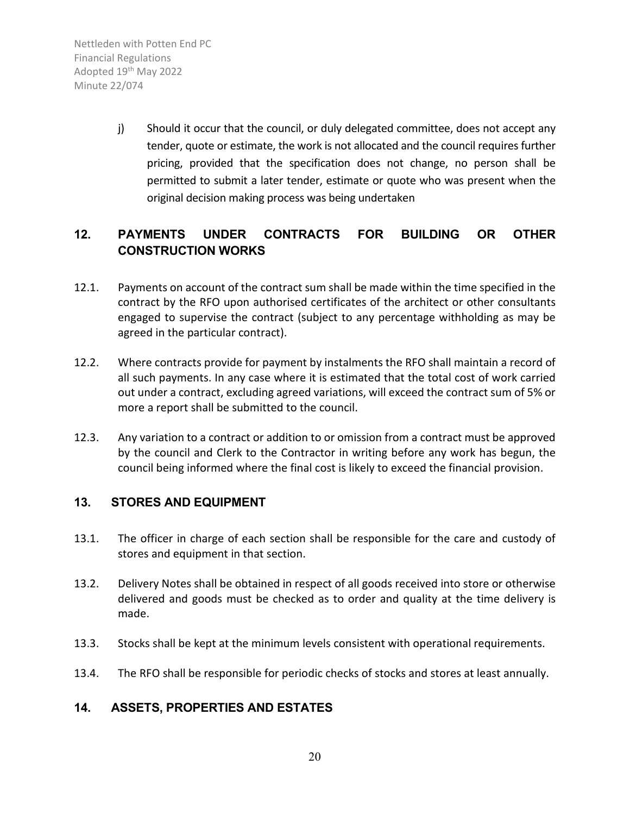> j) Should it occur that the council, or duly delegated committee, does not accept any tender, quote or estimate, the work is not allocated and the council requires further pricing, provided that the specification does not change, no person shall be permitted to submit a later tender, estimate or quote who was present when the original decision making process was being undertaken

## <span id="page-19-0"></span>**12. PAYMENTS UNDER CONTRACTS FOR BUILDING OR OTHER CONSTRUCTION WORKS**

- 12.1. Payments on account of the contract sum shall be made within the time specified in the contract by the RFO upon authorised certificates of the architect or other consultants engaged to supervise the contract (subject to any percentage withholding as may be agreed in the particular contract).
- 12.2. Where contracts provide for payment by instalments the RFO shall maintain a record of all such payments. In any case where it is estimated that the total cost of work carried out under a contract, excluding agreed variations, will exceed the contract sum of 5% or more a report shall be submitted to the council.
- 12.3. Any variation to a contract or addition to or omission from a contract must be approved by the council and Clerk to the Contractor in writing before any work has begun, the council being informed where the final cost is likely to exceed the financial provision.

#### <span id="page-19-1"></span>**13. STORES AND EQUIPMENT**

- 13.1. The officer in charge of each section shall be responsible for the care and custody of stores and equipment in that section.
- 13.2. Delivery Notes shall be obtained in respect of all goods received into store or otherwise delivered and goods must be checked as to order and quality at the time delivery is made.
- 13.3. Stocks shall be kept at the minimum levels consistent with operational requirements.
- 13.4. The RFO shall be responsible for periodic checks of stocks and stores at least annually.

#### <span id="page-19-2"></span>**14. ASSETS, PROPERTIES AND ESTATES**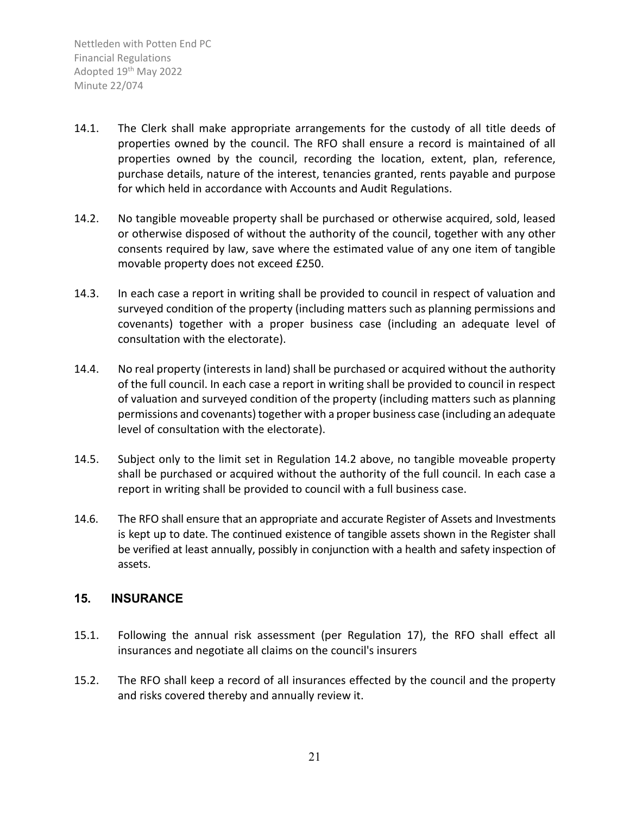- 14.1. The Clerk shall make appropriate arrangements for the custody of all title deeds of properties owned by the council. The RFO shall ensure a record is maintained of all properties owned by the council, recording the location, extent, plan, reference, purchase details, nature of the interest, tenancies granted, rents payable and purpose for which held in accordance with Accounts and Audit Regulations.
- 14.2. No tangible moveable property shall be purchased or otherwise acquired, sold, leased or otherwise disposed of without the authority of the council, together with any other consents required by law, save where the estimated value of any one item of tangible movable property does not exceed £250.
- 14.3. In each case a report in writing shall be provided to council in respect of valuation and surveyed condition of the property (including matters such as planning permissions and covenants) together with a proper business case (including an adequate level of consultation with the electorate).
- 14.4. No real property (interests in land) shall be purchased or acquired without the authority of the full council. In each case a report in writing shall be provided to council in respect of valuation and surveyed condition of the property (including matters such as planning permissions and covenants) together with a proper business case (including an adequate level of consultation with the electorate).
- 14.5. Subject only to the limit set in Regulation 14.2 above, no tangible moveable property shall be purchased or acquired without the authority of the full council. In each case a report in writing shall be provided to council with a full business case.
- 14.6. The RFO shall ensure that an appropriate and accurate Register of Assets and Investments is kept up to date. The continued existence of tangible assets shown in the Register shall be verified at least annually, possibly in conjunction with a health and safety inspection of assets.

#### <span id="page-20-0"></span>**15. INSURANCE**

- 15.1. Following the annual risk assessment (per Regulation 17), the RFO shall effect all insurances and negotiate all claims on the council's insurers
- 15.2. The RFO shall keep a record of all insurances effected by the council and the property and risks covered thereby and annually review it.